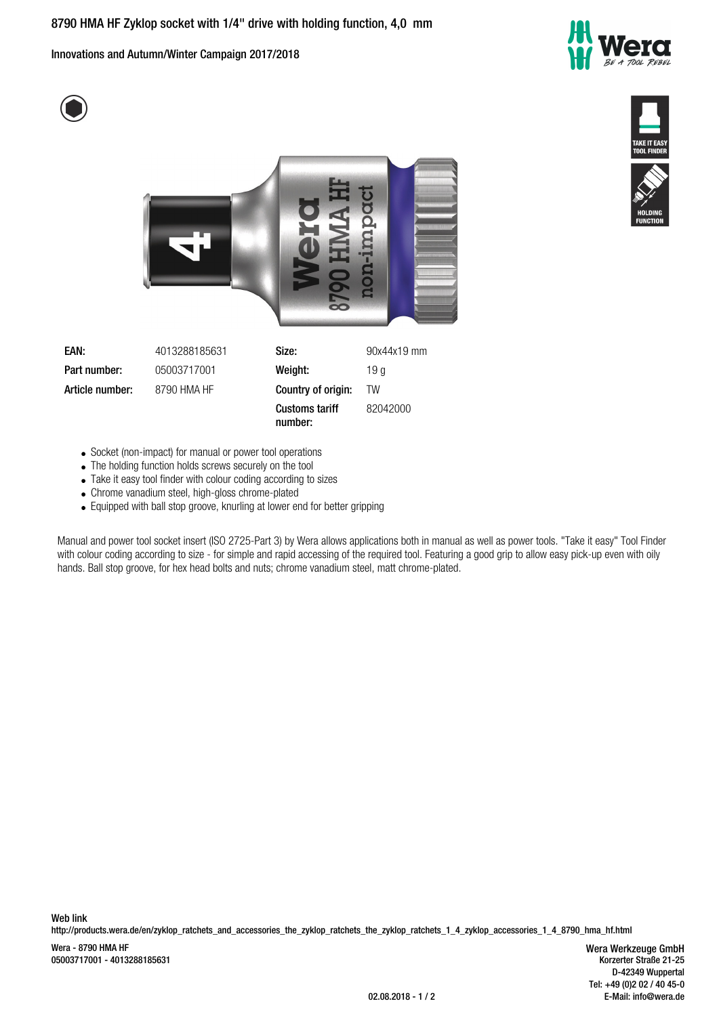Innovations and Autumn/Winter Campaign 2017/2018







- Socket (non-impact) for manual or power tool operations
- The holding function holds screws securely on the tool
- Take it easy tool finder with colour coding according to sizes
- Chrome vanadium steel, high-gloss chrome-plated
- Equipped with ball stop groove, knurling at lower end for better gripping

Manual and power tool socket insert (ISO 2725-Part 3) by Wera allows applications both in manual as well as power tools. "Take it easy" Tool Finder with colour coding according to size - for simple and rapid accessing of the required tool. Featuring a good grip to allow easy pick-up even with oily hands. Ball stop groove, for hex head bolts and nuts; chrome vanadium steel, matt chrome-plated.